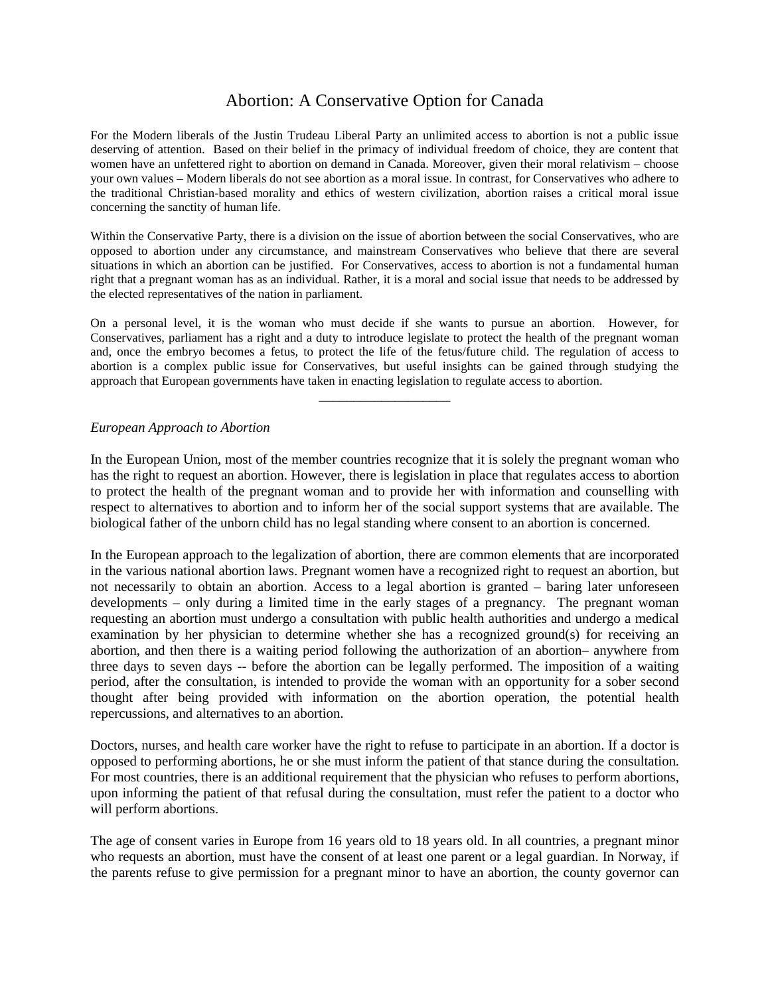# Abortion: A Conservative Option for Canada

For the Modern liberals of the Justin Trudeau Liberal Party an unlimited access to abortion is not a public issue deserving of attention. Based on their belief in the primacy of individual freedom of choice, they are content that women have an unfettered right to abortion on demand in Canada. Moreover, given their moral relativism – choose your own values – Modern liberals do not see abortion as a moral issue. In contrast, for Conservatives who adhere to the traditional Christian-based morality and ethics of western civilization, abortion raises a critical moral issue concerning the sanctity of human life.

Within the Conservative Party, there is a division on the issue of abortion between the social Conservatives, who are opposed to abortion under any circumstance, and mainstream Conservatives who believe that there are several situations in which an abortion can be justified. For Conservatives, access to abortion is not a fundamental human right that a pregnant woman has as an individual. Rather, it is a moral and social issue that needs to be addressed by the elected representatives of the nation in parliament.

On a personal level, it is the woman who must decide if she wants to pursue an abortion. However, for Conservatives, parliament has a right and a duty to introduce legislate to protect the health of the pregnant woman and, once the embryo becomes a fetus, to protect the life of the fetus/future child. The regulation of access to abortion is a complex public issue for Conservatives, but useful insights can be gained through studying the approach that European governments have taken in enacting legislation to regulate access to abortion.

\_\_\_\_\_\_\_\_\_\_\_\_\_\_\_\_\_\_\_

#### *European Approach to Abortion*

In the European Union, most of the member countries recognize that it is solely the pregnant woman who has the right to request an abortion. However, there is legislation in place that regulates access to abortion to protect the health of the pregnant woman and to provide her with information and counselling with respect to alternatives to abortion and to inform her of the social support systems that are available. The biological father of the unborn child has no legal standing where consent to an abortion is concerned.

In the European approach to the legalization of abortion, there are common elements that are incorporated in the various national abortion laws. Pregnant women have a recognized right to request an abortion, but not necessarily to obtain an abortion. Access to a legal abortion is granted – baring later unforeseen developments – only during a limited time in the early stages of a pregnancy. The pregnant woman requesting an abortion must undergo a consultation with public health authorities and undergo a medical examination by her physician to determine whether she has a recognized ground(s) for receiving an abortion, and then there is a waiting period following the authorization of an abortion– anywhere from three days to seven days -- before the abortion can be legally performed. The imposition of a waiting period, after the consultation, is intended to provide the woman with an opportunity for a sober second thought after being provided with information on the abortion operation, the potential health repercussions, and alternatives to an abortion.

Doctors, nurses, and health care worker have the right to refuse to participate in an abortion. If a doctor is opposed to performing abortions, he or she must inform the patient of that stance during the consultation. For most countries, there is an additional requirement that the physician who refuses to perform abortions, upon informing the patient of that refusal during the consultation, must refer the patient to a doctor who will perform abortions.

The age of consent varies in Europe from 16 years old to 18 years old. In all countries, a pregnant minor who requests an abortion, must have the consent of at least one parent or a legal guardian. In Norway, if the parents refuse to give permission for a pregnant minor to have an abortion, the county governor can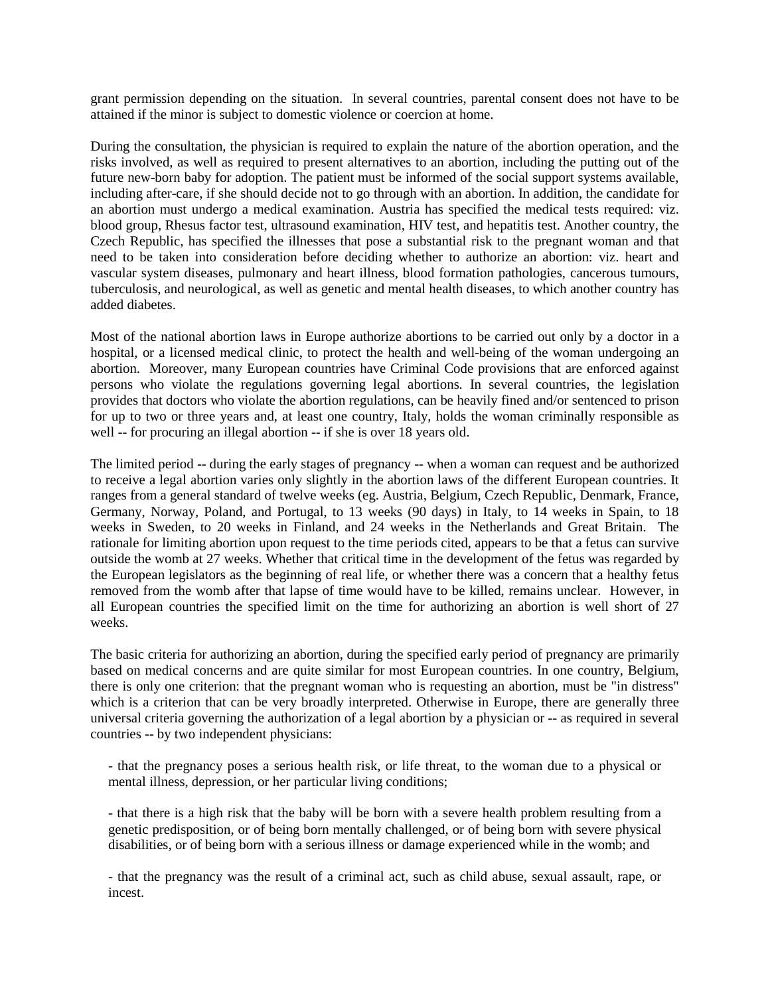grant permission depending on the situation. In several countries, parental consent does not have to be attained if the minor is subject to domestic violence or coercion at home.

During the consultation, the physician is required to explain the nature of the abortion operation, and the risks involved, as well as required to present alternatives to an abortion, including the putting out of the future new-born baby for adoption. The patient must be informed of the social support systems available, including after-care, if she should decide not to go through with an abortion. In addition, the candidate for an abortion must undergo a medical examination. Austria has specified the medical tests required: viz. blood group, Rhesus factor test, ultrasound examination, HIV test, and hepatitis test. Another country, the Czech Republic, has specified the illnesses that pose a substantial risk to the pregnant woman and that need to be taken into consideration before deciding whether to authorize an abortion: viz. heart and vascular system diseases, pulmonary and heart illness, blood formation pathologies, cancerous tumours, tuberculosis, and neurological, as well as genetic and mental health diseases, to which another country has added diabetes.

Most of the national abortion laws in Europe authorize abortions to be carried out only by a doctor in a hospital, or a licensed medical clinic, to protect the health and well-being of the woman undergoing an abortion. Moreover, many European countries have Criminal Code provisions that are enforced against persons who violate the regulations governing legal abortions. In several countries, the legislation provides that doctors who violate the abortion regulations, can be heavily fined and/or sentenced to prison for up to two or three years and, at least one country, Italy, holds the woman criminally responsible as well -- for procuring an illegal abortion -- if she is over 18 years old.

The limited period -- during the early stages of pregnancy -- when a woman can request and be authorized to receive a legal abortion varies only slightly in the abortion laws of the different European countries. It ranges from a general standard of twelve weeks (eg. Austria, Belgium, Czech Republic, Denmark, France, Germany, Norway, Poland, and Portugal, to 13 weeks (90 days) in Italy, to 14 weeks in Spain, to 18 weeks in Sweden, to 20 weeks in Finland, and 24 weeks in the Netherlands and Great Britain. The rationale for limiting abortion upon request to the time periods cited, appears to be that a fetus can survive outside the womb at 27 weeks. Whether that critical time in the development of the fetus was regarded by the European legislators as the beginning of real life, or whether there was a concern that a healthy fetus removed from the womb after that lapse of time would have to be killed, remains unclear. However, in all European countries the specified limit on the time for authorizing an abortion is well short of 27 weeks.

The basic criteria for authorizing an abortion, during the specified early period of pregnancy are primarily based on medical concerns and are quite similar for most European countries. In one country, Belgium, there is only one criterion: that the pregnant woman who is requesting an abortion, must be "in distress" which is a criterion that can be very broadly interpreted. Otherwise in Europe, there are generally three universal criteria governing the authorization of a legal abortion by a physician or -- as required in several countries -- by two independent physicians:

- that the pregnancy poses a serious health risk, or life threat, to the woman due to a physical or mental illness, depression, or her particular living conditions;

- that there is a high risk that the baby will be born with a severe health problem resulting from a genetic predisposition, or of being born mentally challenged, or of being born with severe physical disabilities, or of being born with a serious illness or damage experienced while in the womb; and

- that the pregnancy was the result of a criminal act, such as child abuse, sexual assault, rape, or incest.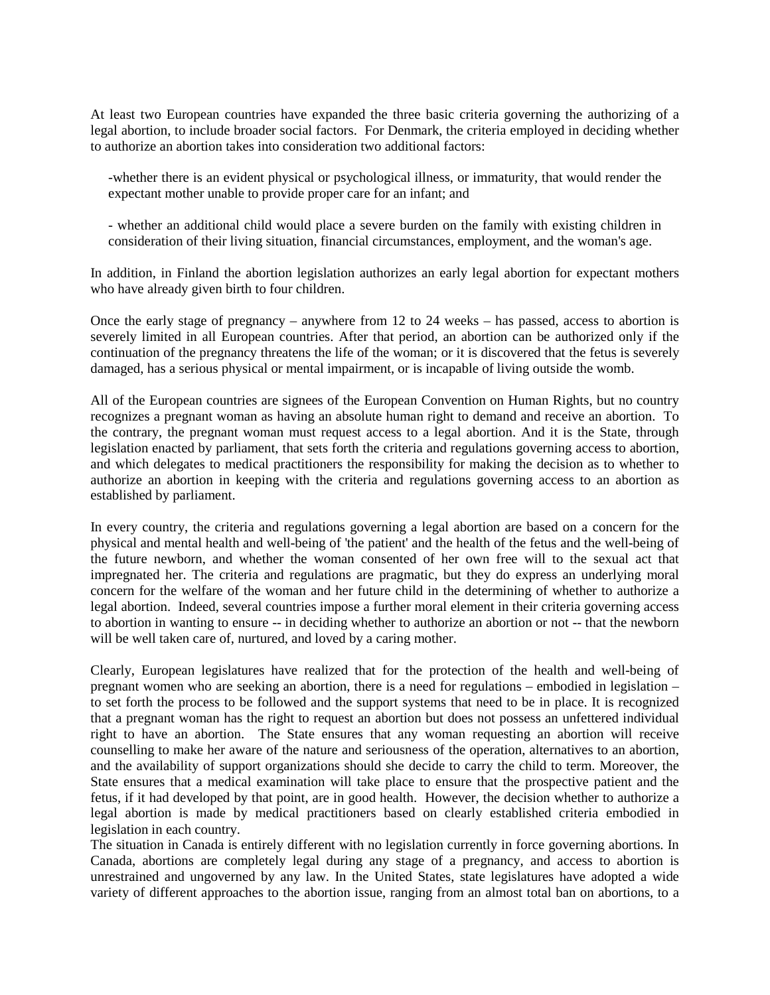At least two European countries have expanded the three basic criteria governing the authorizing of a legal abortion, to include broader social factors. For Denmark, the criteria employed in deciding whether to authorize an abortion takes into consideration two additional factors:

-whether there is an evident physical or psychological illness, or immaturity, that would render the expectant mother unable to provide proper care for an infant; and

- whether an additional child would place a severe burden on the family with existing children in consideration of their living situation, financial circumstances, employment, and the woman's age.

In addition, in Finland the abortion legislation authorizes an early legal abortion for expectant mothers who have already given birth to four children.

Once the early stage of pregnancy – anywhere from 12 to 24 weeks – has passed, access to abortion is severely limited in all European countries. After that period, an abortion can be authorized only if the continuation of the pregnancy threatens the life of the woman; or it is discovered that the fetus is severely damaged, has a serious physical or mental impairment, or is incapable of living outside the womb.

All of the European countries are signees of the European Convention on Human Rights, but no country recognizes a pregnant woman as having an absolute human right to demand and receive an abortion. To the contrary, the pregnant woman must request access to a legal abortion. And it is the State, through legislation enacted by parliament, that sets forth the criteria and regulations governing access to abortion, and which delegates to medical practitioners the responsibility for making the decision as to whether to authorize an abortion in keeping with the criteria and regulations governing access to an abortion as established by parliament.

In every country, the criteria and regulations governing a legal abortion are based on a concern for the physical and mental health and well-being of 'the patient' and the health of the fetus and the well-being of the future newborn, and whether the woman consented of her own free will to the sexual act that impregnated her. The criteria and regulations are pragmatic, but they do express an underlying moral concern for the welfare of the woman and her future child in the determining of whether to authorize a legal abortion. Indeed, several countries impose a further moral element in their criteria governing access to abortion in wanting to ensure -- in deciding whether to authorize an abortion or not -- that the newborn will be well taken care of, nurtured, and loved by a caring mother.

Clearly, European legislatures have realized that for the protection of the health and well-being of pregnant women who are seeking an abortion, there is a need for regulations – embodied in legislation – to set forth the process to be followed and the support systems that need to be in place. It is recognized that a pregnant woman has the right to request an abortion but does not possess an unfettered individual right to have an abortion. The State ensures that any woman requesting an abortion will receive counselling to make her aware of the nature and seriousness of the operation, alternatives to an abortion, and the availability of support organizations should she decide to carry the child to term. Moreover, the State ensures that a medical examination will take place to ensure that the prospective patient and the fetus, if it had developed by that point, are in good health. However, the decision whether to authorize a legal abortion is made by medical practitioners based on clearly established criteria embodied in legislation in each country.

The situation in Canada is entirely different with no legislation currently in force governing abortions. In Canada, abortions are completely legal during any stage of a pregnancy, and access to abortion is unrestrained and ungoverned by any law. In the United States, state legislatures have adopted a wide variety of different approaches to the abortion issue, ranging from an almost total ban on abortions, to a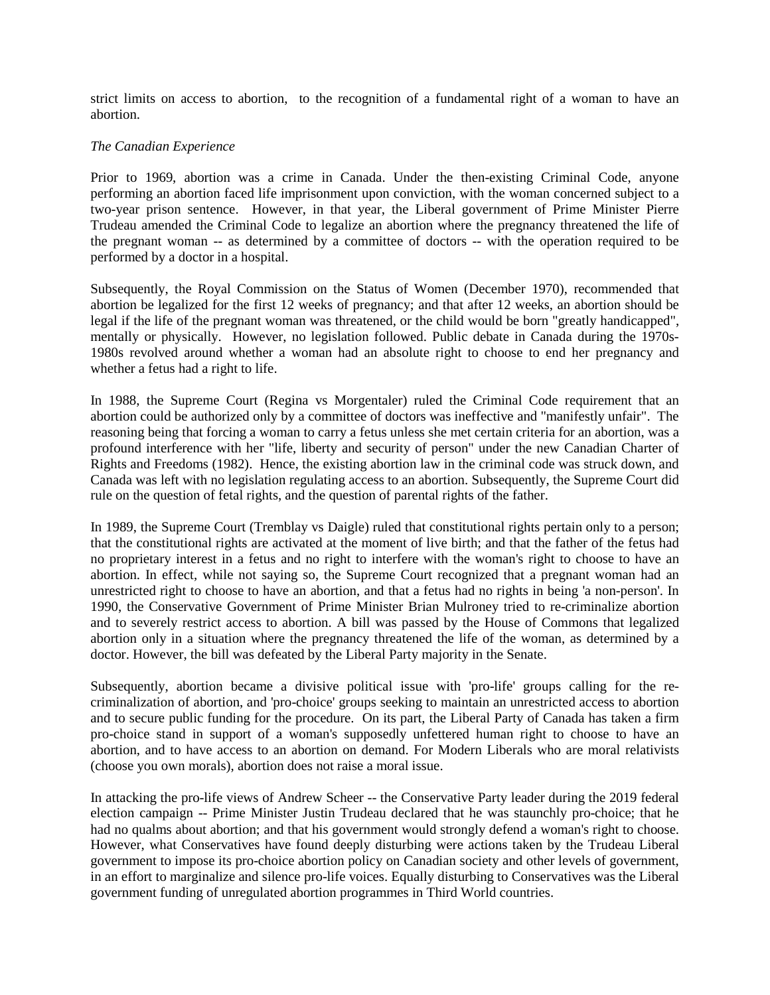strict limits on access to abortion, to the recognition of a fundamental right of a woman to have an abortion.

### *The Canadian Experience*

Prior to 1969, abortion was a crime in Canada. Under the then-existing Criminal Code, anyone performing an abortion faced life imprisonment upon conviction, with the woman concerned subject to a two-year prison sentence. However, in that year, the Liberal government of Prime Minister Pierre Trudeau amended the Criminal Code to legalize an abortion where the pregnancy threatened the life of the pregnant woman -- as determined by a committee of doctors -- with the operation required to be performed by a doctor in a hospital.

Subsequently, the Royal Commission on the Status of Women (December 1970), recommended that abortion be legalized for the first 12 weeks of pregnancy; and that after 12 weeks, an abortion should be legal if the life of the pregnant woman was threatened, or the child would be born "greatly handicapped", mentally or physically. However, no legislation followed. Public debate in Canada during the 1970s-1980s revolved around whether a woman had an absolute right to choose to end her pregnancy and whether a fetus had a right to life.

In 1988, the Supreme Court (Regina vs Morgentaler) ruled the Criminal Code requirement that an abortion could be authorized only by a committee of doctors was ineffective and "manifestly unfair". The reasoning being that forcing a woman to carry a fetus unless she met certain criteria for an abortion, was a profound interference with her "life, liberty and security of person" under the new Canadian Charter of Rights and Freedoms (1982). Hence, the existing abortion law in the criminal code was struck down, and Canada was left with no legislation regulating access to an abortion. Subsequently, the Supreme Court did rule on the question of fetal rights, and the question of parental rights of the father.

In 1989, the Supreme Court (Tremblay vs Daigle) ruled that constitutional rights pertain only to a person; that the constitutional rights are activated at the moment of live birth; and that the father of the fetus had no proprietary interest in a fetus and no right to interfere with the woman's right to choose to have an abortion. In effect, while not saying so, the Supreme Court recognized that a pregnant woman had an unrestricted right to choose to have an abortion, and that a fetus had no rights in being 'a non-person'. In 1990, the Conservative Government of Prime Minister Brian Mulroney tried to re-criminalize abortion and to severely restrict access to abortion. A bill was passed by the House of Commons that legalized abortion only in a situation where the pregnancy threatened the life of the woman, as determined by a doctor. However, the bill was defeated by the Liberal Party majority in the Senate.

Subsequently, abortion became a divisive political issue with 'pro-life' groups calling for the recriminalization of abortion, and 'pro-choice' groups seeking to maintain an unrestricted access to abortion and to secure public funding for the procedure. On its part, the Liberal Party of Canada has taken a firm pro-choice stand in support of a woman's supposedly unfettered human right to choose to have an abortion, and to have access to an abortion on demand. For Modern Liberals who are moral relativists (choose you own morals), abortion does not raise a moral issue.

In attacking the pro-life views of Andrew Scheer -- the Conservative Party leader during the 2019 federal election campaign -- Prime Minister Justin Trudeau declared that he was staunchly pro-choice; that he had no qualms about abortion; and that his government would strongly defend a woman's right to choose. However, what Conservatives have found deeply disturbing were actions taken by the Trudeau Liberal government to impose its pro-choice abortion policy on Canadian society and other levels of government, in an effort to marginalize and silence pro-life voices. Equally disturbing to Conservatives was the Liberal government funding of unregulated abortion programmes in Third World countries.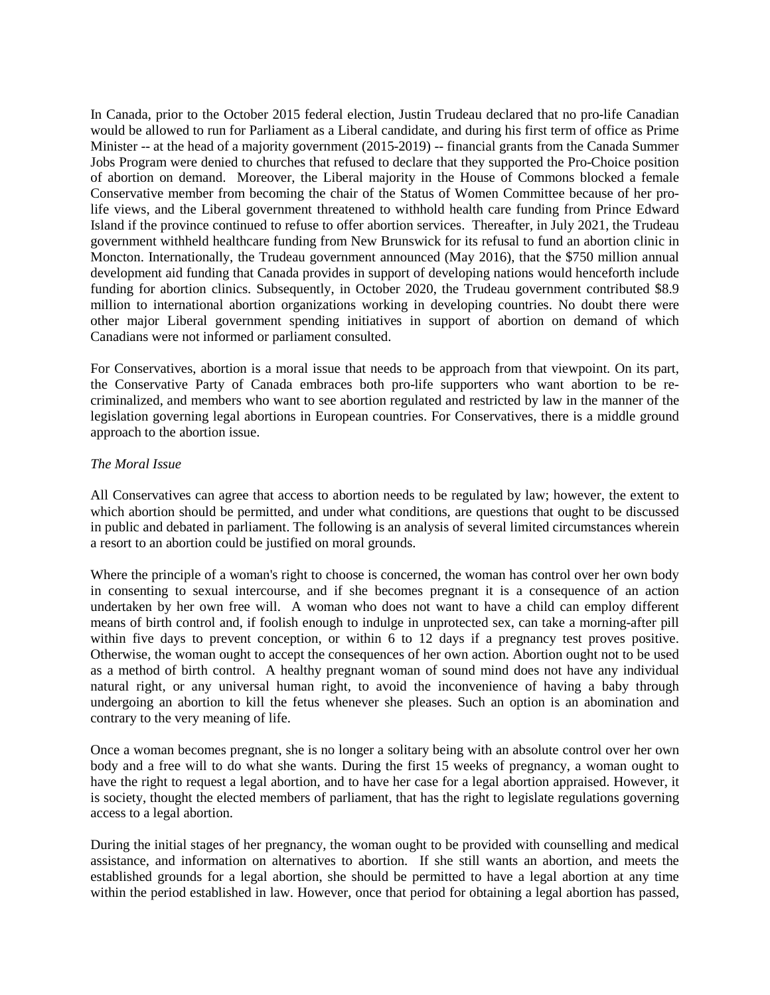In Canada, prior to the October 2015 federal election, Justin Trudeau declared that no pro-life Canadian would be allowed to run for Parliament as a Liberal candidate, and during his first term of office as Prime Minister -- at the head of a majority government (2015-2019) -- financial grants from the Canada Summer Jobs Program were denied to churches that refused to declare that they supported the Pro-Choice position of abortion on demand. Moreover, the Liberal majority in the House of Commons blocked a female Conservative member from becoming the chair of the Status of Women Committee because of her prolife views, and the Liberal government threatened to withhold health care funding from Prince Edward Island if the province continued to refuse to offer abortion services. Thereafter, in July 2021, the Trudeau government withheld healthcare funding from New Brunswick for its refusal to fund an abortion clinic in Moncton. Internationally, the Trudeau government announced (May 2016), that the \$750 million annual development aid funding that Canada provides in support of developing nations would henceforth include funding for abortion clinics. Subsequently, in October 2020, the Trudeau government contributed \$8.9 million to international abortion organizations working in developing countries. No doubt there were other major Liberal government spending initiatives in support of abortion on demand of which Canadians were not informed or parliament consulted.

For Conservatives, abortion is a moral issue that needs to be approach from that viewpoint. On its part, the Conservative Party of Canada embraces both pro-life supporters who want abortion to be recriminalized, and members who want to see abortion regulated and restricted by law in the manner of the legislation governing legal abortions in European countries. For Conservatives, there is a middle ground approach to the abortion issue.

### *The Moral Issue*

All Conservatives can agree that access to abortion needs to be regulated by law; however, the extent to which abortion should be permitted, and under what conditions, are questions that ought to be discussed in public and debated in parliament. The following is an analysis of several limited circumstances wherein a resort to an abortion could be justified on moral grounds.

Where the principle of a woman's right to choose is concerned, the woman has control over her own body in consenting to sexual intercourse, and if she becomes pregnant it is a consequence of an action undertaken by her own free will. A woman who does not want to have a child can employ different means of birth control and, if foolish enough to indulge in unprotected sex, can take a morning-after pill within five days to prevent conception, or within 6 to 12 days if a pregnancy test proves positive. Otherwise, the woman ought to accept the consequences of her own action. Abortion ought not to be used as a method of birth control. A healthy pregnant woman of sound mind does not have any individual natural right, or any universal human right, to avoid the inconvenience of having a baby through undergoing an abortion to kill the fetus whenever she pleases. Such an option is an abomination and contrary to the very meaning of life.

Once a woman becomes pregnant, she is no longer a solitary being with an absolute control over her own body and a free will to do what she wants. During the first 15 weeks of pregnancy, a woman ought to have the right to request a legal abortion, and to have her case for a legal abortion appraised. However, it is society, thought the elected members of parliament, that has the right to legislate regulations governing access to a legal abortion.

During the initial stages of her pregnancy, the woman ought to be provided with counselling and medical assistance, and information on alternatives to abortion. If she still wants an abortion, and meets the established grounds for a legal abortion, she should be permitted to have a legal abortion at any time within the period established in law. However, once that period for obtaining a legal abortion has passed,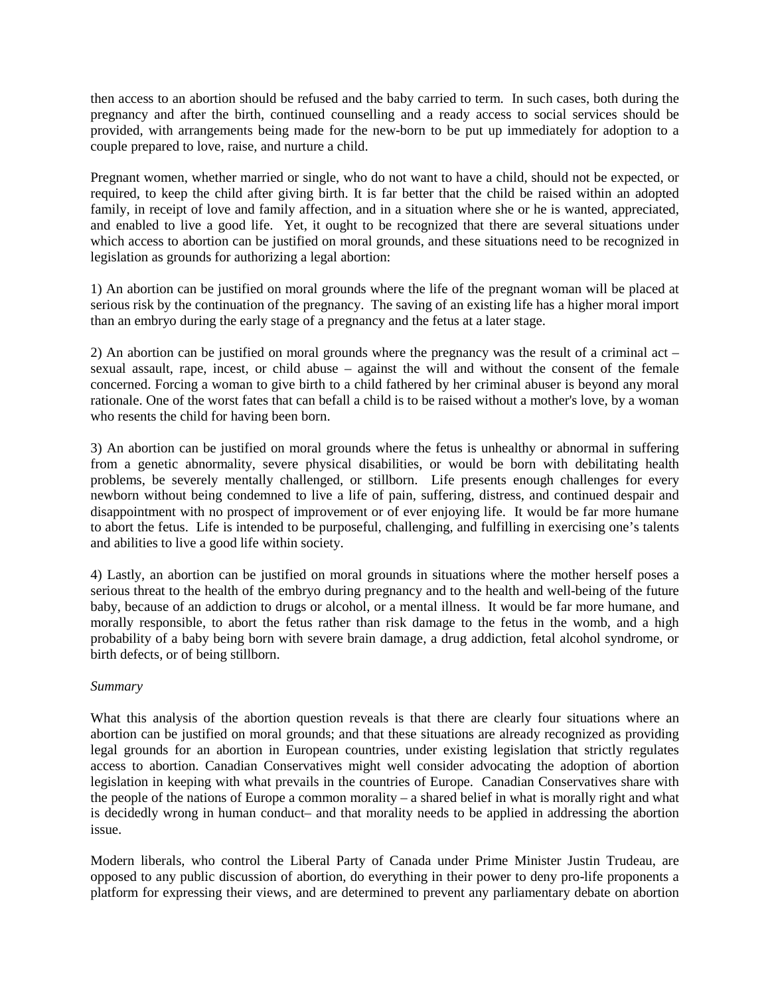then access to an abortion should be refused and the baby carried to term. In such cases, both during the pregnancy and after the birth, continued counselling and a ready access to social services should be provided, with arrangements being made for the new-born to be put up immediately for adoption to a couple prepared to love, raise, and nurture a child.

Pregnant women, whether married or single, who do not want to have a child, should not be expected, or required, to keep the child after giving birth. It is far better that the child be raised within an adopted family, in receipt of love and family affection, and in a situation where she or he is wanted, appreciated, and enabled to live a good life. Yet, it ought to be recognized that there are several situations under which access to abortion can be justified on moral grounds, and these situations need to be recognized in legislation as grounds for authorizing a legal abortion:

1) An abortion can be justified on moral grounds where the life of the pregnant woman will be placed at serious risk by the continuation of the pregnancy. The saving of an existing life has a higher moral import than an embryo during the early stage of a pregnancy and the fetus at a later stage.

2) An abortion can be justified on moral grounds where the pregnancy was the result of a criminal act – sexual assault, rape, incest, or child abuse – against the will and without the consent of the female concerned. Forcing a woman to give birth to a child fathered by her criminal abuser is beyond any moral rationale. One of the worst fates that can befall a child is to be raised without a mother's love, by a woman who resents the child for having been born.

3) An abortion can be justified on moral grounds where the fetus is unhealthy or abnormal in suffering from a genetic abnormality, severe physical disabilities, or would be born with debilitating health problems, be severely mentally challenged, or stillborn. Life presents enough challenges for every newborn without being condemned to live a life of pain, suffering, distress, and continued despair and disappointment with no prospect of improvement or of ever enjoying life. It would be far more humane to abort the fetus. Life is intended to be purposeful, challenging, and fulfilling in exercising one's talents and abilities to live a good life within society.

4) Lastly, an abortion can be justified on moral grounds in situations where the mother herself poses a serious threat to the health of the embryo during pregnancy and to the health and well-being of the future baby, because of an addiction to drugs or alcohol, or a mental illness. It would be far more humane, and morally responsible, to abort the fetus rather than risk damage to the fetus in the womb, and a high probability of a baby being born with severe brain damage, a drug addiction, fetal alcohol syndrome, or birth defects, or of being stillborn.

## *Summary*

What this analysis of the abortion question reveals is that there are clearly four situations where an abortion can be justified on moral grounds; and that these situations are already recognized as providing legal grounds for an abortion in European countries, under existing legislation that strictly regulates access to abortion. Canadian Conservatives might well consider advocating the adoption of abortion legislation in keeping with what prevails in the countries of Europe. Canadian Conservatives share with the people of the nations of Europe a common morality – a shared belief in what is morally right and what is decidedly wrong in human conduct– and that morality needs to be applied in addressing the abortion issue.

Modern liberals, who control the Liberal Party of Canada under Prime Minister Justin Trudeau, are opposed to any public discussion of abortion, do everything in their power to deny pro-life proponents a platform for expressing their views, and are determined to prevent any parliamentary debate on abortion